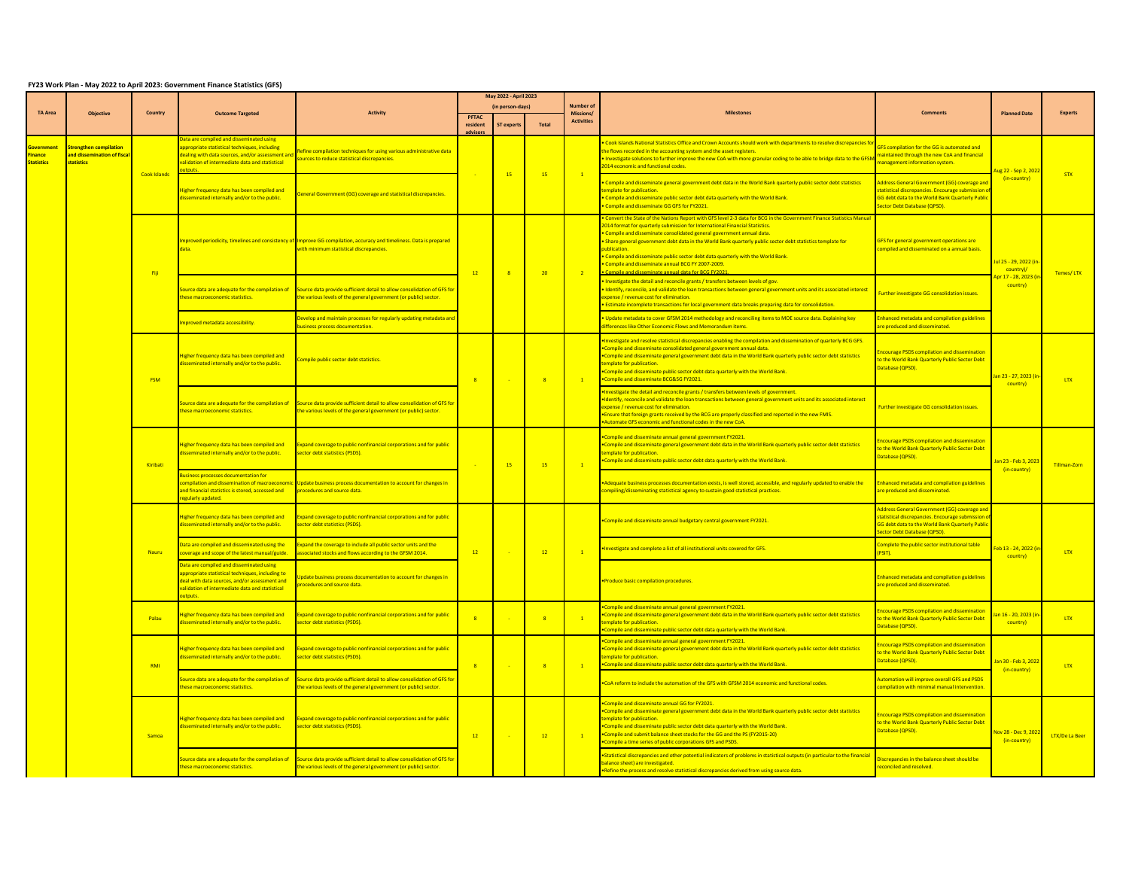## **FY23 Work Plan - May 2022 to April 2023: Government Finance Statistics (GFS)**

|                                                | <b>Objective</b>                                                 | Country             | <b>Outcome Targeted</b>                                                                                                                                                                                   | Activit                                                                                                                                                        | May 2022 - April 2023 |                                     |                            |                                                  |                                                                                                                                                                                                                                                                                                                                                                                                                                                                                                                                                                                                          |                                                                                                                                                                                      |                                                   |                  |
|------------------------------------------------|------------------------------------------------------------------|---------------------|-----------------------------------------------------------------------------------------------------------------------------------------------------------------------------------------------------------|----------------------------------------------------------------------------------------------------------------------------------------------------------------|-----------------------|-------------------------------------|----------------------------|--------------------------------------------------|----------------------------------------------------------------------------------------------------------------------------------------------------------------------------------------------------------------------------------------------------------------------------------------------------------------------------------------------------------------------------------------------------------------------------------------------------------------------------------------------------------------------------------------------------------------------------------------------------------|--------------------------------------------------------------------------------------------------------------------------------------------------------------------------------------|---------------------------------------------------|------------------|
| <b>TA Area</b>                                 |                                                                  |                     |                                                                                                                                                                                                           |                                                                                                                                                                | PFTAC<br>resident     | (in person-days)<br><b>ST</b> exper | <b>Total</b>               | Number o<br><b>Missions</b><br><b>Activities</b> |                                                                                                                                                                                                                                                                                                                                                                                                                                                                                                                                                                                                          |                                                                                                                                                                                      | <b>Planned Date</b>                               | <b>Experts</b>   |
| <b>overnment</b><br>nance<br><b>Statistics</b> | trengthen compilation<br>nd dissemination of fisca<br>statistics | <b>Cook Islands</b> | Data are compiled and disseminated using<br>ppropriate statistical techniques, including<br>aling with data sources, and/or assessment and<br>alidation of intermediate data and statistical              | Refine compilation techniques for using various administrative data<br>sources to reduce statistical discrepancies.                                            |                       | 15                                  | 15                         | $\blacksquare$                                   | Cook Islands National Statistics Office and Crown Accounts should work with departments to resolve discrepancies for<br>he flows recorded in the accounting system and the asset registers.<br>Investigate solutions to further improve the new CoA with more granular coding to be able to bridge data to the GFSM<br><b>2014 economic and functional codes.</b>                                                                                                                                                                                                                                        | <b>SFS compilation for the GG is automated and</b><br>aintained through the new CoA and financial<br>anagement information system.                                                   | Aug 22 - Sep 2, 202.<br>(in-country)              | STX              |
|                                                |                                                                  |                     | Higher frequency data has been compiled and<br>disseminated internally and/or to the public.                                                                                                              | General Government (GG) coverage and statistical discrepancies.                                                                                                |                       |                                     |                            |                                                  | Compile and disseminate general government debt data in the World Bank quarterly public sector debt statistics<br>emplate for publication.<br>Compile and disseminate public sector debt data quarterly with the World Bank.<br>Compile and disseminate GG GFS for FY2021.                                                                                                                                                                                                                                                                                                                               | ddress General Government (GG) coverage and<br>atistical discrepancies. Encourage submission<br><b>G debt data to the World Bank Quarterly Public</b><br>ector Debt Database (OPSD). |                                                   |                  |
|                                                |                                                                  |                     |                                                                                                                                                                                                           | nproved periodicity, timelines and consistency of Improve GG compilation, accuracy and timeliness. Data is prepared<br>with minimum statistical discrepancies. |                       |                                     |                            |                                                  | Convert the State of the Nations Report with GFS level 2-3 data for BCG in the Government Finance Statistics Manua<br><b>2014 format for quarterly submission for International Financial Statistics.</b><br>Compile and disseminate consolidated general government annual data.<br>Share general government debt data in the World Bank quarterly public sector debt statistics template for<br>oublication.<br>Compile and disseminate public sector debt data quarterly with the World Bank.<br>Compile and disseminate annual BCG FY 2007-2009.<br>ompile and disseminate annual data for BCG FY20. | <b>GFS for general government operations are</b><br>mpiled and disseminated on a annual basis.                                                                                       | lul 25 - 29, 2022 (in<br>country)/                |                  |
|                                                |                                                                  | Fiji                | ource data are adequate for the compilation of<br>nese macroeconomic statistics.                                                                                                                          | Source data provide sufficient detail to allow consolidation of GFS for<br>he various levels of the general government (or public) sector.                     | 12                    | $\overline{\mathbf{R}}$             | 20                         | $-2$                                             | Investigate the detail and reconcile grants / transfers between levels of gov.<br>Identify, reconcile, and validate the loan transactions between general government units and its associated interest<br>xpense / revenue cost for elimination.<br>Estimate incomplete transactions for local government data breaks preparing data for consolidation.                                                                                                                                                                                                                                                  | urther investigate GG consolidation issues.                                                                                                                                          | ipr 17 - 28, 2023 (ii<br>country)                 | Temes/LTX        |
|                                                |                                                                  |                     | nproved metadata accessibility.                                                                                                                                                                           | evelop and maintain processes for regularly updating metadata and<br>siness process documentation.                                                             |                       |                                     |                            |                                                  | Update metadata to cover GFSM 2014 methodology and reconciling items to MOE source data. Explaining key<br>differences like Other Economic Flows and Memorandum items.                                                                                                                                                                                                                                                                                                                                                                                                                                   | hanced metadata and compilation guidelines<br>re produced and disseminated.                                                                                                          |                                                   |                  |
|                                                |                                                                  | <b>FSM</b>          | Higher frequency data has been compiled and<br>sseminated internally and/or to the public.                                                                                                                | ompile public sector debt statistics.                                                                                                                          | R                     | <b>College</b>                      | $-8$                       | $-1$                                             | Investigate and resolve statistical discrepancies enabling the compilation and dissemination of quarterly BCG GFS.<br>Compile and disseminate consolidated general government annual data.<br>Compile and disseminate general government debt data in the World Bank quarterly public sector debt statistics<br>emplate for publication.<br>Compile and disseminate public sector debt data quarterly with the World Bank.<br>Compile and disseminate BCG&SG FY2021.                                                                                                                                     | courage PSDS compilation and dissemination<br>the World Bank Quarterly Public Sector Debt<br>atabase (QPSD).                                                                         | an 23 - 27, 2023 (in<br>country)                  | LTX <sup>1</sup> |
|                                                |                                                                  |                     | ource data are adequate for the compilation of<br>ese macroeconomic statistics.                                                                                                                           | Source data provide sufficient detail to allow consolidation of GFS for<br>he various levels of the general government (or public) sector.                     |                       |                                     |                            |                                                  | Investigate the detail and reconcile grants / transfers between levels of government.<br>Identify, reconcile and validate the loan transactions between general government units and its associated interest<br>xpense / revenue cost for elimination<br>Ensure that foreign grants received by the BCG are properly classified and reported in the new FMIS.<br>Automate GFS economic and functional codes in the new CoA.                                                                                                                                                                              | urther investigate GG consolidation issues                                                                                                                                           |                                                   |                  |
|                                                |                                                                  | Kiribati            | ligher frequency data has been compiled and<br>isseminated internally and/or to the public.                                                                                                               | Expand coverage to public nonfinancial corporations and for public<br>ector debt statistics (PSDS).                                                            |                       | 15                                  | 15                         | $\overline{1}$                                   | Compile and disseminate annual general government FY2021.<br>Compile and disseminate general government debt data in the World Bank quarterly public sector debt statistics<br>mplate for publication<br>Compile and disseminate public sector debt data quarterly with the World Bank.                                                                                                                                                                                                                                                                                                                  | courage PSDS compilation and disseminatio<br>the World Bank Quarterly Public Sector Debt<br>atabase (OPSD).                                                                          | <mark>Jan 23 - Feb 3, 2023</mark><br>(in-country) | Tillman-Zorn     |
|                                                |                                                                  |                     | siness processes documentation for<br>mpilation and dissemination of macroeconomi<br>nd financial statistics is stored, accessed and<br>egularly updated.                                                 | Update business process documentation to account for changes in<br>procedures and source data.                                                                 |                       |                                     |                            |                                                  | Adequate business processes documentation exists, is well stored, accessible, and regularly updated to enable the<br>compiling/disseminating statistical agency to sustain good statistical practices.                                                                                                                                                                                                                                                                                                                                                                                                   | hanced metadata and compilation guidelines<br>re produced and disseminated.                                                                                                          |                                                   |                  |
|                                                |                                                                  |                     | Higher frequency data has been compiled and<br>lisseminated internally and/or to the public.                                                                                                              | Expand coverage to public nonfinancial corporations and for public<br>sector debt statistics (PSDS).                                                           | 12                    |                                     | 12                         |                                                  | Compile and disseminate annual budgetary central government FY2021.                                                                                                                                                                                                                                                                                                                                                                                                                                                                                                                                      | ddress General Government (GG) coverage an<br>atistical discrepancies. Encourage submissior<br><b>SG debt data to the World Bank Quarterly Public</b><br>ector Debt Database (OPSD). |                                                   | LTX              |
|                                                |                                                                  | Nauru               | Data are compiled and disseminated using the<br>overage and scope of the latest manual/guide.                                                                                                             | xpand the coverage to include all public sector units and the<br>ssociated stocks and flows according to the GFSM 2014.                                        |                       |                                     |                            |                                                  | nvestigate and complete a list of all institutional units covered for GFS.                                                                                                                                                                                                                                                                                                                                                                                                                                                                                                                               | mplete the public sector institutional table<br>PSIT).                                                                                                                               | Feb 13 - 24, 2022 (i)<br>country)                 |                  |
|                                                |                                                                  |                     | Data are compiled and disseminated using<br>appropriate statistical techniques, including to<br>deal with data sources, and/or assessment and<br>alidation of intermediate data and statistical<br>tnuts. | pdate business process documentation to account for changes in<br>rocedures and source data.                                                                   |                       |                                     |                            |                                                  | Produce basic compilation procedures                                                                                                                                                                                                                                                                                                                                                                                                                                                                                                                                                                     | hanced metadata and compilation guidelines<br>re produced and disseminated.                                                                                                          |                                                   |                  |
|                                                |                                                                  | Palau               | Higher frequency data has been compiled and<br>seminated internally and/or to the public.                                                                                                                 | Expand coverage to public nonfinancial corporations and for public<br>ector debt statistics (PSDS).                                                            |                       |                                     | $\overline{\mathbf{R}}$    | $-1$                                             | Compile and disseminate annual general government FY2021.<br>Compile and disseminate general government debt data in the World Bank quarterly public sector debt statistics<br>mplate for publication.<br>ompile and disseminate public sector debt data quarterly with the World Bank.                                                                                                                                                                                                                                                                                                                  | courage PSDS compilation and dissemination<br>o the World Bank Quarterly Public Sector Debt<br><b>atabase (QPSD).</b>                                                                | an 16 - 20, 2023 (in<br>country)                  | <b>TTX</b>       |
|                                                |                                                                  | RMI                 | ligher frequency data has been compiled and<br>disseminated internally and/or to the public.                                                                                                              | Expand coverage to public nonfinancial corporations and for public<br>sector debt statistics (PSDS).                                                           | R                     |                                     | $\overline{\phantom{a}}$ 8 | $\overline{1}$                                   | Compile and disseminate annual general government FY2021.<br>Compile and disseminate general government debt data in the World Bank quarterly public sector debt statistics<br>emplate for publication.<br>ompile and disseminate public sector debt data quarterly with the World Bank.                                                                                                                                                                                                                                                                                                                 | ourage PSDS compilation and disseminatio<br>the World Bank Quarterly Public Sector Debt<br>atabase (OPSD).                                                                           | lan 30 - Feb 3, 2022<br>(in-country)              | <b>LTX</b>       |
|                                                |                                                                  |                     | urce data are adequate for the compilation of<br>lese macroeconomic statistics.                                                                                                                           | ource data provide sufficient detail to allow consolidation of GFS for<br>ne various levels of the general government (or public) sector.                      |                       |                                     |                            |                                                  | CoA reform to include the automation of the GFS with GFSM 2014 economic and functional codes.                                                                                                                                                                                                                                                                                                                                                                                                                                                                                                            | utomation will improve overall GFS and PSDS<br>mpilation with minimal manual intervention                                                                                            |                                                   |                  |
|                                                |                                                                  | Samoa               | ligher frequency data has been compiled and<br>sseminated internally and/or to the public.                                                                                                                | Expand coverage to public nonfinancial corporations and for public<br>sector debt statistics (PSDS).                                                           | 12                    |                                     | 12                         | $-1$                                             | Compile and disseminate annual GG for FY2021.<br>Compile and disseminate general government debt data in the World Bank quarterly public sector debt statistics<br>emplate for publication<br>Compile and disseminate public sector debt data quarterly with the World Bank.<br>. Compile and submit balance sheet stocks for the GG and the PS (FY2015-20)<br>Compile a time series of public corporations GFS and PSDS.                                                                                                                                                                                | courage PSDS compilation and dissemination<br>o the World Bank Quarterly Public Sector Debt<br>atabase (QPSD).                                                                       | Vov 28 - Dec 9, 2022<br>(in-country)              | LTX/De La Beer   |
|                                                |                                                                  |                     | urce data are adequate for the compilation of<br>hese macroeconomic statistics.                                                                                                                           | Source data provide sufficient detail to allow consolidation of GFS for<br>the various levels of the general government (or public) sector.                    |                       |                                     |                            |                                                  | Statistical discrepancies and other potential indicators of problems in statistical outputs (in particular to the financial<br>palance sheet) are investigated.<br>Refine the process and resolve statistical discrepancies derived from using source data.                                                                                                                                                                                                                                                                                                                                              | iscrepancies in the balance sheet should be<br>econciled and resolved.                                                                                                               |                                                   |                  |